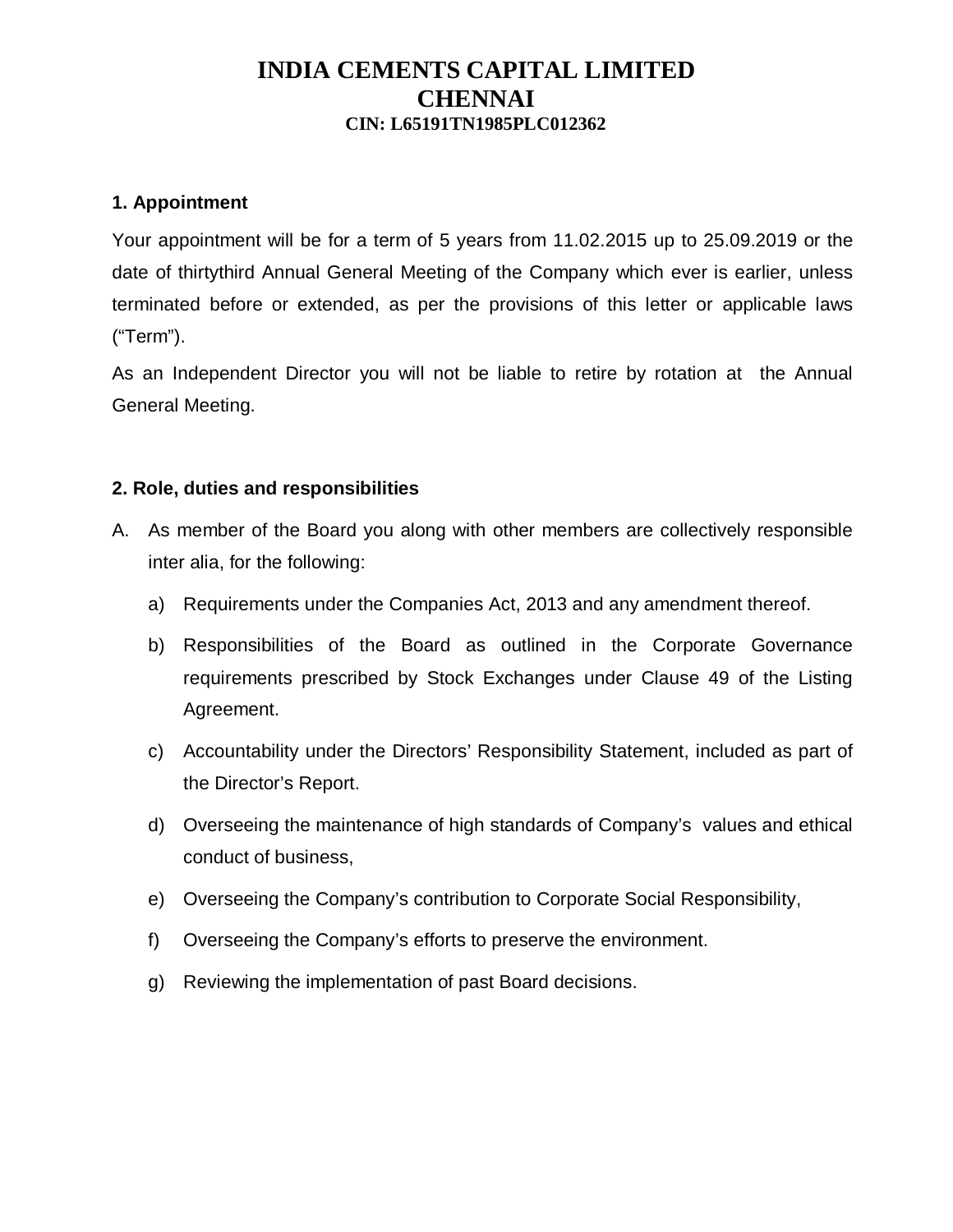#### **1. Appointment**

Your appointment will be for a term of 5 years from 11.02.2015 up to 25.09.2019 or the date of thirtythird Annual General Meeting of the Company which ever is earlier, unless terminated before or extended, as per the provisions of this letter or applicable laws ("Term").

As an Independent Director you will not be liable to retire by rotation at the Annual General Meeting.

### **2. Role, duties and responsibilities**

- A. As member of the Board you along with other members are collectively responsible inter alia, for the following:
	- a) Requirements under the Companies Act, 2013 and any amendment thereof.
	- b) Responsibilities of the Board as outlined in the Corporate Governance requirements prescribed by Stock Exchanges under Clause 49 of the Listing Agreement.
	- c) Accountability under the Directors' Responsibility Statement, included as part of the Director's Report.
	- d) Overseeing the maintenance of high standards of Company's values and ethical conduct of business,
	- e) Overseeing the Company's contribution to Corporate Social Responsibility,
	- f) Overseeing the Company's efforts to preserve the environment.
	- g) Reviewing the implementation of past Board decisions.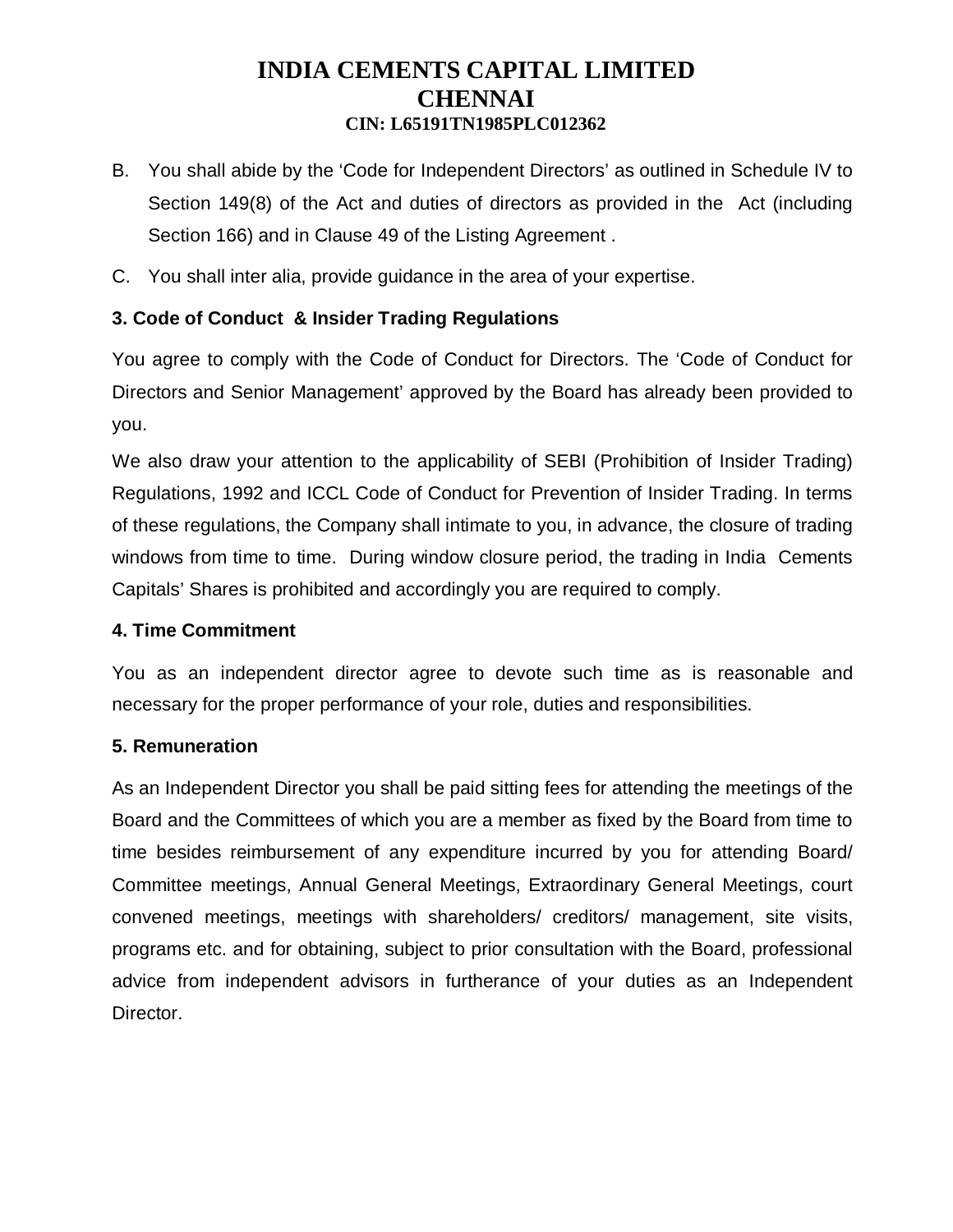- B. You shall abide by the 'Code for Independent Directors' as outlined in Schedule IV to Section 149(8) of the Act and duties of directors as provided in the Act (including Section 166) and in Clause 49 of the Listing Agreement .
- C. You shall inter alia, provide guidance in the area of your expertise.

### **3. Code of Conduct & Insider Trading Regulations**

You agree to comply with the Code of Conduct for Directors. The 'Code of Conduct for Directors and Senior Management' approved by the Board has already been provided to you.

We also draw your attention to the applicability of SEBI (Prohibition of Insider Trading) Regulations, 1992 and ICCL Code of Conduct for Prevention of Insider Trading. In terms of these regulations, the Company shall intimate to you, in advance, the closure of trading windows from time to time. During window closure period, the trading in India Cements Capitals' Shares is prohibited and accordingly you are required to comply.

#### **4. Time Commitment**

You as an independent director agree to devote such time as is reasonable and necessary for the proper performance of your role, duties and responsibilities.

### **5. Remuneration**

As an Independent Director you shall be paid sitting fees for attending the meetings of the Board and the Committees of which you are a member as fixed by the Board from time to time besides reimbursement of any expenditure incurred by you for attending Board/ Committee meetings, Annual General Meetings, Extraordinary General Meetings, court convened meetings, meetings with shareholders/ creditors/ management, site visits, programs etc. and for obtaining, subject to prior consultation with the Board, professional advice from independent advisors in furtherance of your duties as an Independent Director.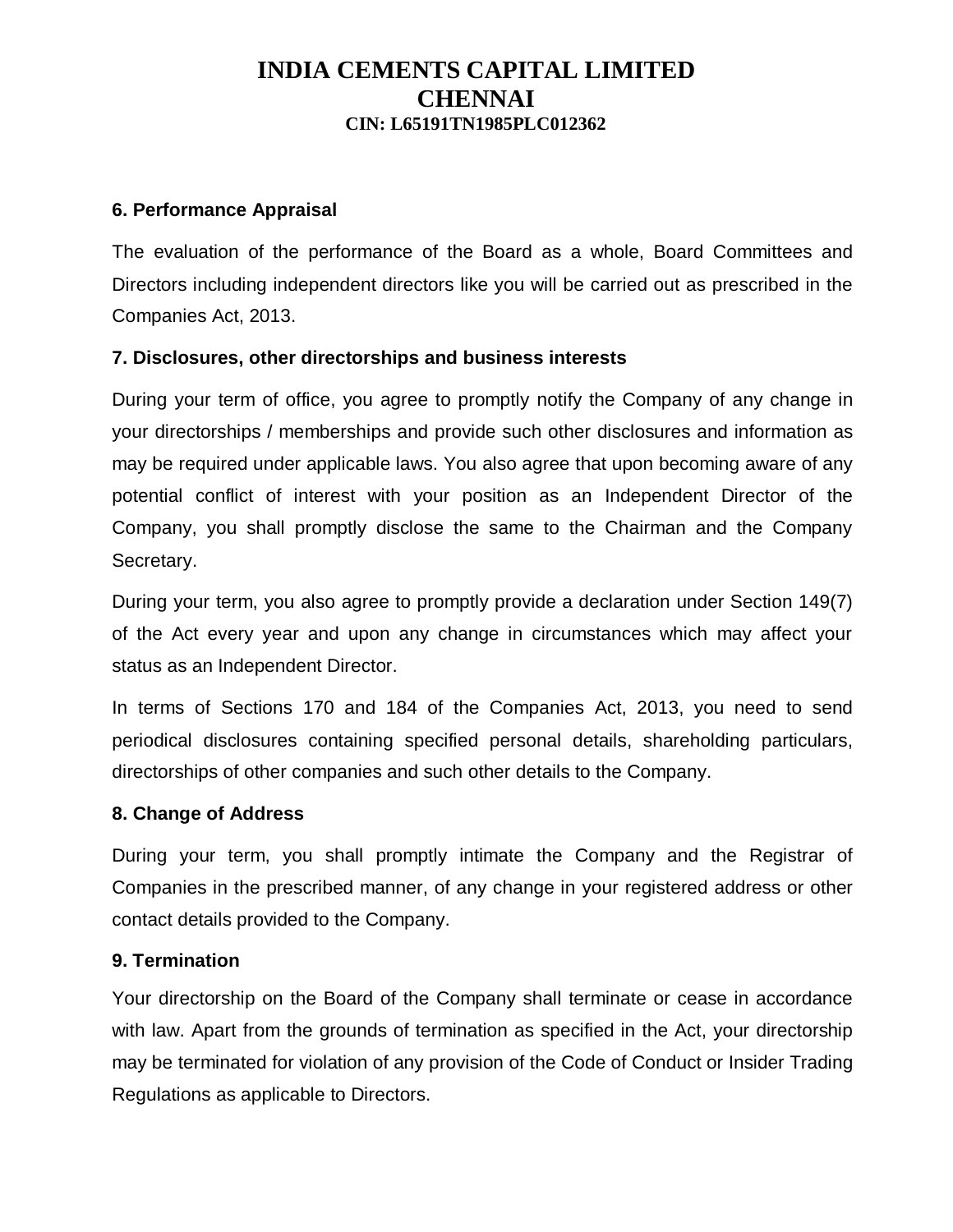#### **6. Performance Appraisal**

The evaluation of the performance of the Board as a whole, Board Committees and Directors including independent directors like you will be carried out as prescribed in the Companies Act, 2013.

#### **7. Disclosures, other directorships and business interests**

During your term of office, you agree to promptly notify the Company of any change in your directorships / memberships and provide such other disclosures and information as may be required under applicable laws. You also agree that upon becoming aware of any potential conflict of interest with your position as an Independent Director of the Company, you shall promptly disclose the same to the Chairman and the Company Secretary.

During your term, you also agree to promptly provide a declaration under Section 149(7) of the Act every year and upon any change in circumstances which may affect your status as an Independent Director.

In terms of Sections 170 and 184 of the Companies Act, 2013, you need to send periodical disclosures containing specified personal details, shareholding particulars, directorships of other companies and such other details to the Company.

#### **8. Change of Address**

During your term, you shall promptly intimate the Company and the Registrar of Companies in the prescribed manner, of any change in your registered address or other contact details provided to the Company.

#### **9. Termination**

Your directorship on the Board of the Company shall terminate or cease in accordance with law. Apart from the grounds of termination as specified in the Act, your directorship may be terminated for violation of any provision of the Code of Conduct or Insider Trading Regulations as applicable to Directors.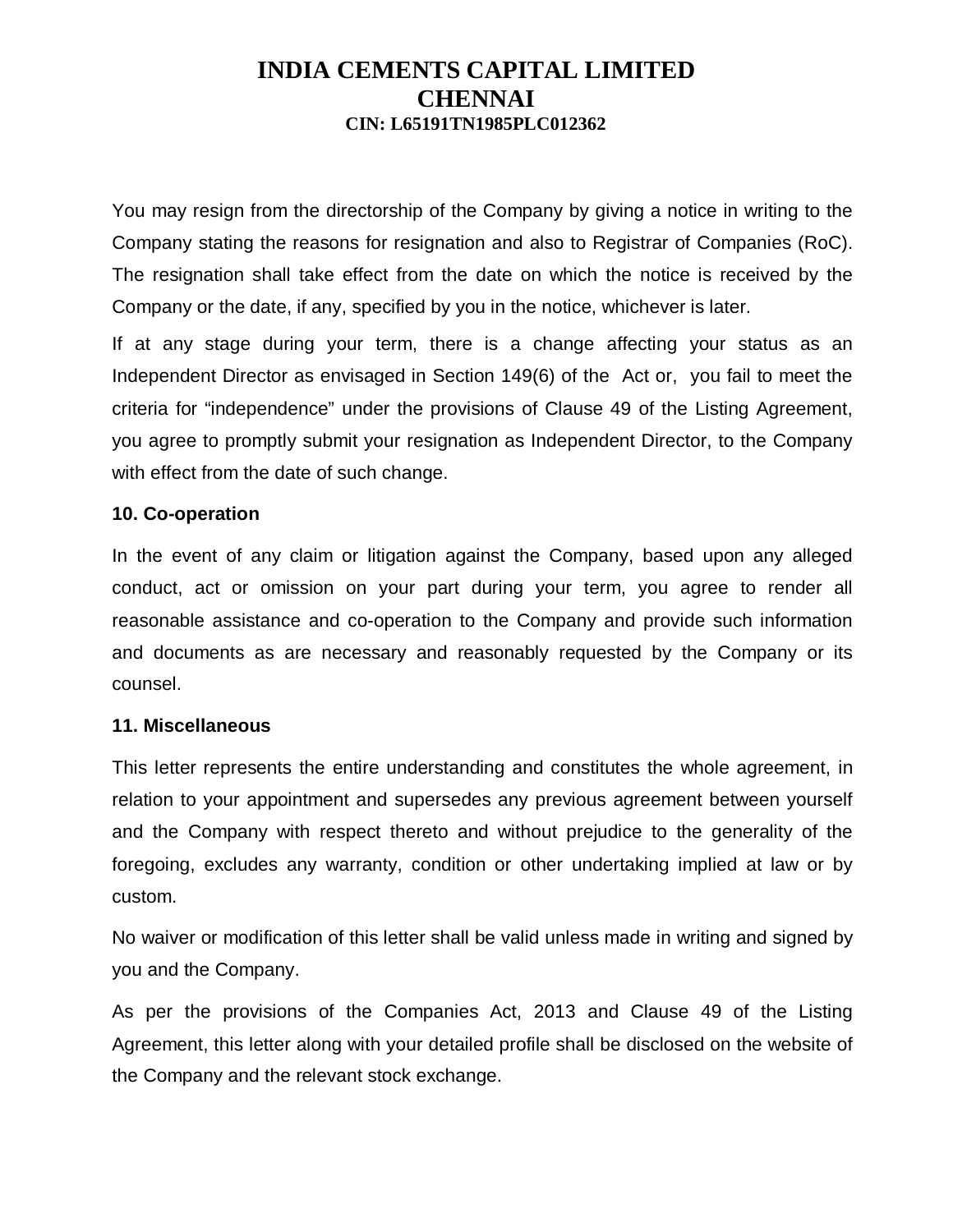You may resign from the directorship of the Company by giving a notice in writing to the Company stating the reasons for resignation and also to Registrar of Companies (RoC). The resignation shall take effect from the date on which the notice is received by the Company or the date, if any, specified by you in the notice, whichever is later.

If at any stage during your term, there is a change affecting your status as an Independent Director as envisaged in Section 149(6) of the Act or, you fail to meet the criteria for "independence" under the provisions of Clause 49 of the Listing Agreement, you agree to promptly submit your resignation as Independent Director, to the Company with effect from the date of such change.

### **10. Co-operation**

In the event of any claim or litigation against the Company, based upon any alleged conduct, act or omission on your part during your term, you agree to render all reasonable assistance and co-operation to the Company and provide such information and documents as are necessary and reasonably requested by the Company or its counsel.

#### **11. Miscellaneous**

This letter represents the entire understanding and constitutes the whole agreement, in relation to your appointment and supersedes any previous agreement between yourself and the Company with respect thereto and without prejudice to the generality of the foregoing, excludes any warranty, condition or other undertaking implied at law or by custom.

No waiver or modification of this letter shall be valid unless made in writing and signed by you and the Company.

As per the provisions of the Companies Act, 2013 and Clause 49 of the Listing Agreement, this letter along with your detailed profile shall be disclosed on the website of the Company and the relevant stock exchange.